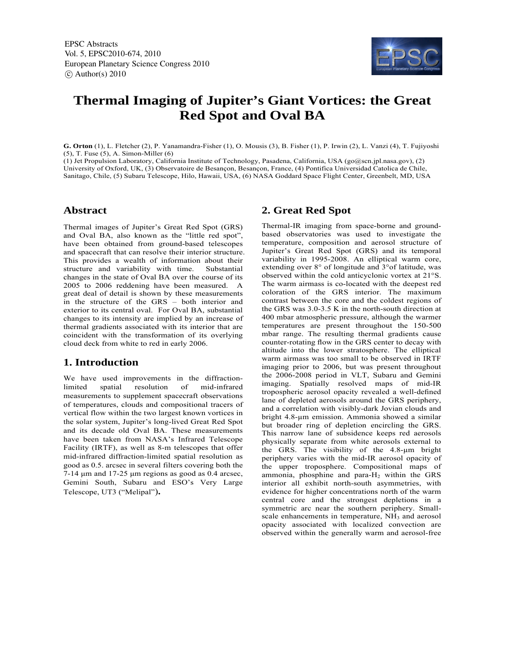

# **Thermal Imaging of Jupiter's Giant Vortices: the Great Red Spot and Oval BA**

**G. Orton** (1), L. Fletcher (2), P. Yanamandra-Fisher (1), O. Mousis (3), B. Fisher (1), P. Irwin (2), L. Vanzi (4), T. Fujiyoshi (5), T. Fuse (5), A. Simon-Miller (6)

(1) Jet Propulsion Laboratory, California Institute of Technology, Pasadena, California, USA (go@scn.jpl.nasa.gov), (2) University of Oxford, UK, (3) Observatoire de Besançon, Besançon, France, (4) Pontifica Universidad Catolica de Chile, Sanitago, Chile, (5) Subaru Telescope, Hilo, Hawaii, USA, (6) NASA Goddard Space Flight Center, Greenbelt, MD, USA

#### **Abstract**

Thermal images of Jupiter's Great Red Spot (GRS) and Oval BA, also known as the "little red spot", have been obtained from ground-based telescopes and spacecraft that can resolve their interior structure. This provides a wealth of information about their structure and variability with time. Substantial changes in the state of Oval BA over the course of its 2005 to 2006 reddening have been measured. A great deal of detail is shown by these measurements in the structure of the GRS – both interior and exterior to its central oval. For Oval BA, substantial changes to its intensity are implied by an increase of thermal gradients associated with its interior that are coincident with the transformation of its overlying cloud deck from white to red in early 2006.

#### **1. Introduction**

We have used improvements in the diffractionlimited spatial resolution of mid-infrared measurements to supplement spacecraft observations of temperatures, clouds and compositional tracers of vertical flow within the two largest known vortices in the solar system, Jupiter's long-lived Great Red Spot and its decade old Oval BA. These measurements have been taken from NASA's Infrared Telescope Facility (IRTF), as well as 8-m telescopes that offer mid-infrared diffraction-limited spatial resolution as good as 0.5. arcsec in several filters covering both the 7-14 μm and 17-25 μm regions as good as 0.4 arcsec, Gemini South, Subaru and ESO's Very Large Telescope, UT3 ("Melipal")**.** 

### **2. Great Red Spot**

Thermal-IR imaging from space-borne and groundbased observatories was used to investigate the temperature, composition and aerosol structure of Jupiter's Great Red Spot (GRS) and its temporal variability in 1995-2008. An elliptical warm core, extending over 8° of longitude and 3°of latitude, was observed within the cold anticyclonic vortex at 21°S. The warm airmass is co-located with the deepest red coloration of the GRS interior. The maximum contrast between the core and the coldest regions of the GRS was 3.0-3.5 K in the north-south direction at 400 mbar atmospheric pressure, although the warmer temperatures are present throughout the 150-500 mbar range. The resulting thermal gradients cause counter-rotating flow in the GRS center to decay with altitude into the lower stratosphere. The elliptical warm airmass was too small to be observed in IRTF imaging prior to 2006, but was present throughout the 2006-2008 period in VLT, Subaru and Gemini imaging. Spatially resolved maps of mid-IR tropospheric aerosol opacity revealed a well-defined lane of depleted aerosols around the GRS periphery, and a correlation with visibly-dark Jovian clouds and bright 4.8-um emission. Ammonia showed a similar but broader ring of depletion encircling the GRS. This narrow lane of subsidence keeps red aerosols physically separate from white aerosols external to the GRS. The visibility of the  $4.8\text{-}\mu\text{m}$  bright periphery varies with the mid-IR aerosol opacity of the upper troposphere. Compositional maps of ammonia, phosphine and para- $H_2$  within the GRS interior all exhibit north-south asymmetries, with evidence for higher concentrations north of the warm central core and the strongest depletions in a symmetric arc near the southern periphery. Smallscale enhancements in temperature, NH<sub>3</sub> and aerosol opacity associated with localized convection are observed within the generally warm and aerosol-free